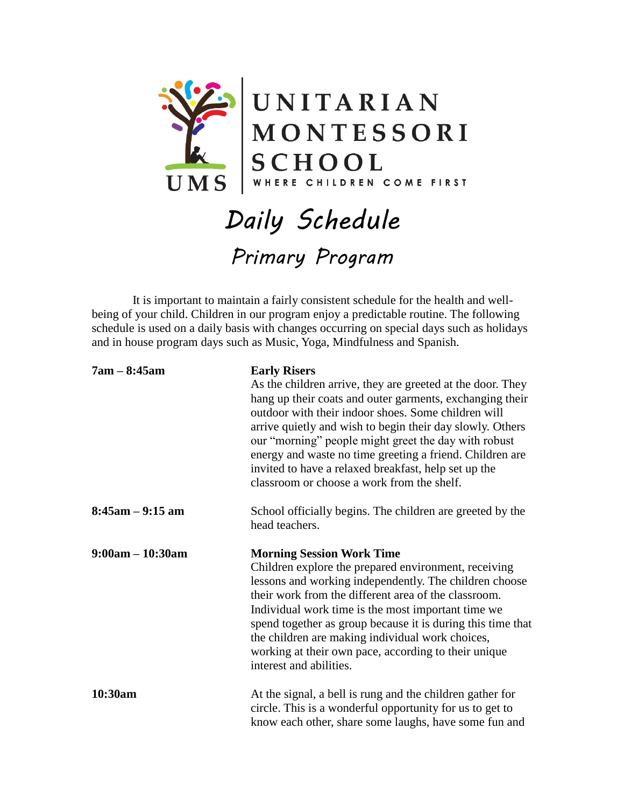

## *Daily Schedule Primary Program*

 It is important to maintain a fairly consistent schedule for the health and wellbeing of your child. Children in our program enjoy a predictable routine. The following schedule is used on a daily basis with changes occurring on special days such as holidays and in house program days such as Music, Yoga, Mindfulness and Spanish.

| $7am - 8:45am$       | <b>Early Risers</b><br>As the children arrive, they are greeted at the door. They<br>hang up their coats and outer garments, exchanging their<br>outdoor with their indoor shoes. Some children will<br>arrive quietly and wish to begin their day slowly. Others<br>our "morning" people might greet the day with robust<br>energy and waste no time greeting a friend. Children are<br>invited to have a relaxed breakfast, help set up the<br>classroom or choose a work from the shelf. |
|----------------------|---------------------------------------------------------------------------------------------------------------------------------------------------------------------------------------------------------------------------------------------------------------------------------------------------------------------------------------------------------------------------------------------------------------------------------------------------------------------------------------------|
| $8:45$ am $-9:15$ am | School officially begins. The children are greeted by the<br>head teachers.                                                                                                                                                                                                                                                                                                                                                                                                                 |
| $9:00am - 10:30am$   | <b>Morning Session Work Time</b><br>Children explore the prepared environment, receiving<br>lessons and working independently. The children choose<br>their work from the different area of the classroom.<br>Individual work time is the most important time we<br>spend together as group because it is during this time that<br>the children are making individual work choices,<br>working at their own pace, according to their unique<br>interest and abilities.                      |
| 10:30am              | At the signal, a bell is rung and the children gather for<br>circle. This is a wonderful opportunity for us to get to<br>know each other, share some laughs, have some fun and                                                                                                                                                                                                                                                                                                              |